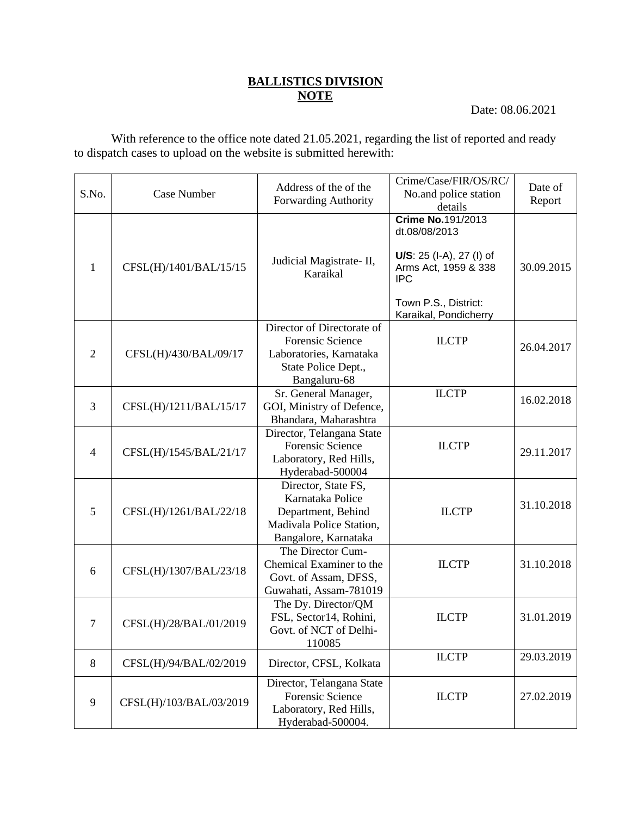#### **BALLISTICS DIVISION NOTE**

Date: 08.06.2021

With reference to the office note dated 21.05.2021, regarding the list of reported and ready to dispatch cases to upload on the website is submitted herewith:

| S.No.          | Case Number             | Address of the of the<br>Forwarding Authority                                                                           | Crime/Case/FIR/OS/RC/<br>No.and police station<br>details                                                                                             | Date of<br>Report |
|----------------|-------------------------|-------------------------------------------------------------------------------------------------------------------------|-------------------------------------------------------------------------------------------------------------------------------------------------------|-------------------|
| 1              | CFSL(H)/1401/BAL/15/15  | Judicial Magistrate-II,<br>Karaikal                                                                                     | Crime No.191/2013<br>dt.08/08/2013<br>U/S: 25 (I-A), 27 (I) of<br>Arms Act, 1959 & 338<br><b>IPC</b><br>Town P.S., District:<br>Karaikal, Pondicherry | 30.09.2015        |
| 2              | CFSL(H)/430/BAL/09/17   | Director of Directorate of<br><b>Forensic Science</b><br>Laboratories, Karnataka<br>State Police Dept.,<br>Bangaluru-68 | <b>ILCTP</b>                                                                                                                                          | 26.04.2017        |
| 3              | CFSL(H)/1211/BAL/15/17  | Sr. General Manager,<br>GOI, Ministry of Defence,<br>Bhandara, Maharashtra                                              | <b>ILCTP</b>                                                                                                                                          | 16.02.2018        |
| $\overline{4}$ | CFSL(H)/1545/BAL/21/17  | Director, Telangana State<br><b>Forensic Science</b><br>Laboratory, Red Hills,<br>Hyderabad-500004                      | <b>ILCTP</b>                                                                                                                                          | 29.11.2017        |
| 5              | CFSL(H)/1261/BAL/22/18  | Director, State FS,<br>Karnataka Police<br>Department, Behind<br>Madivala Police Station,<br>Bangalore, Karnataka       | <b>ILCTP</b>                                                                                                                                          | 31.10.2018        |
| 6              | CFSL(H)/1307/BAL/23/18  | The Director Cum-<br>Chemical Examiner to the<br>Govt. of Assam, DFSS,<br>Guwahati, Assam-781019                        | <b>ILCTP</b>                                                                                                                                          | 31.10.2018        |
| 7              | CFSL(H)/28/BAL/01/2019  | The Dy. Director/QM<br>FSL, Sector14, Rohini,<br>Govt. of NCT of Delhi-<br>110085                                       | <b>ILCTP</b>                                                                                                                                          | 31.01.2019        |
| 8              | CFSL(H)/94/BAL/02/2019  | Director, CFSL, Kolkata                                                                                                 | <b>ILCTP</b>                                                                                                                                          | 29.03.2019        |
| 9              | CFSL(H)/103/BAL/03/2019 | Director, Telangana State<br><b>Forensic Science</b><br>Laboratory, Red Hills,<br>Hyderabad-500004.                     | <b>ILCTP</b>                                                                                                                                          | 27.02.2019        |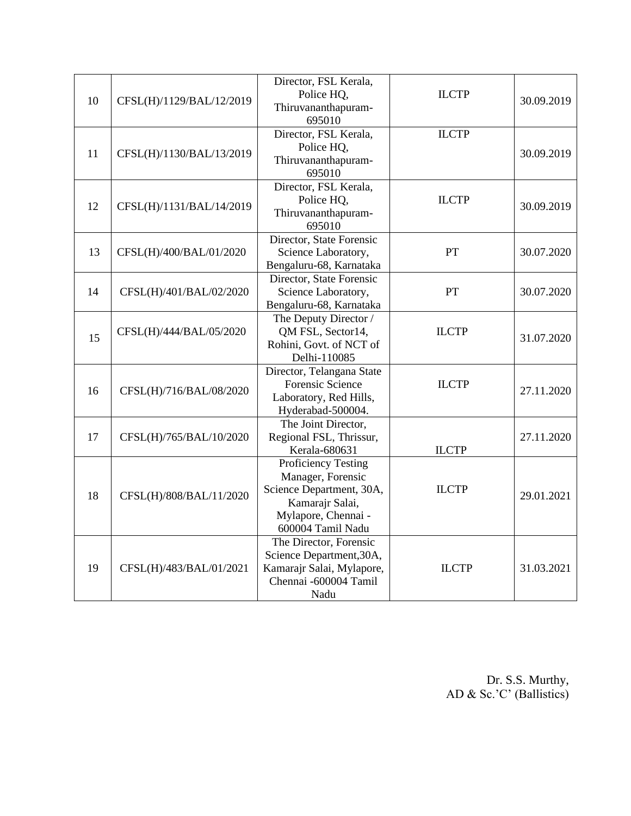| 10 | CFSL(H)/1129/BAL/12/2019 | Director, FSL Kerala,<br>Police HQ,<br>Thiruvananthapuram-<br>695010                                                                | <b>ILCTP</b> | 30.09.2019 |
|----|--------------------------|-------------------------------------------------------------------------------------------------------------------------------------|--------------|------------|
| 11 | CFSL(H)/1130/BAL/13/2019 | Director, FSL Kerala,<br>Police HQ,<br>Thiruvananthapuram-<br>695010                                                                | <b>ILCTP</b> | 30.09.2019 |
| 12 | CFSL(H)/1131/BAL/14/2019 | Director, FSL Kerala,<br>Police HQ,<br>Thiruvananthapuram-<br>695010                                                                | <b>ILCTP</b> | 30.09.2019 |
| 13 | CFSL(H)/400/BAL/01/2020  | Director, State Forensic<br>Science Laboratory,<br>Bengaluru-68, Karnataka                                                          | PT           | 30.07.2020 |
| 14 | CFSL(H)/401/BAL/02/2020  | Director, State Forensic<br>Science Laboratory,<br>Bengaluru-68, Karnataka                                                          | PT           | 30.07.2020 |
| 15 | CFSL(H)/444/BAL/05/2020  | The Deputy Director /<br>QM FSL, Sector14,<br>Rohini, Govt. of NCT of<br>Delhi-110085                                               | <b>ILCTP</b> | 31.07.2020 |
| 16 | CFSL(H)/716/BAL/08/2020  | Director, Telangana State<br><b>Forensic Science</b><br>Laboratory, Red Hills,<br>Hyderabad-500004.                                 | <b>ILCTP</b> | 27.11.2020 |
| 17 | CFSL(H)/765/BAL/10/2020  | The Joint Director,<br>Regional FSL, Thrissur,<br>Kerala-680631                                                                     | <b>ILCTP</b> | 27.11.2020 |
| 18 | CFSL(H)/808/BAL/11/2020  | Proficiency Testing<br>Manager, Forensic<br>Science Department, 30A,<br>Kamarajr Salai,<br>Mylapore, Chennai -<br>600004 Tamil Nadu | <b>ILCTP</b> | 29.01.2021 |
| 19 | CFSL(H)/483/BAL/01/2021  | The Director, Forensic<br>Science Department, 30A,<br>Kamarajr Salai, Mylapore,<br>Chennai -600004 Tamil<br>Nadu                    | <b>ILCTP</b> | 31.03.2021 |

 Dr. S.S. Murthy, AD & Sc.'C' (Ballistics)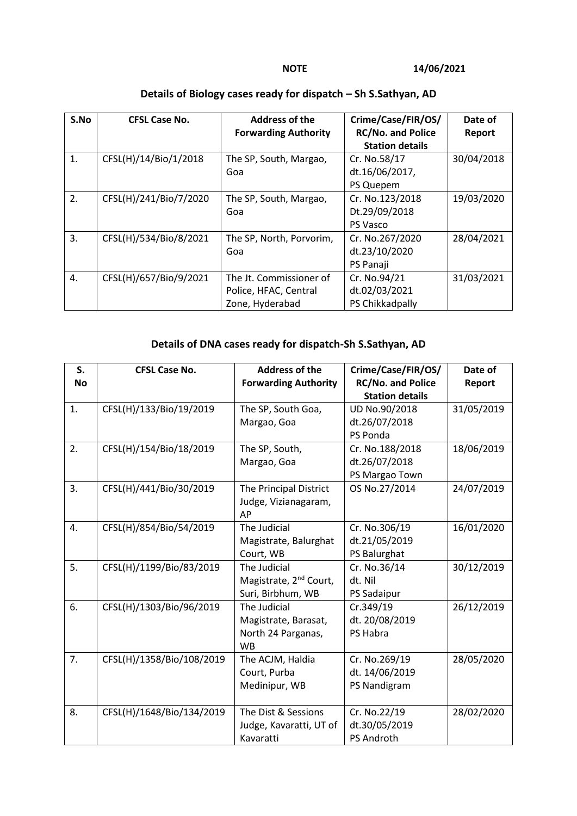### **NOTE 14/06/2021**

| S.No           | <b>CFSL Case No.</b>   | <b>Address of the</b><br><b>Forwarding Authority</b> | Crime/Case/FIR/OS/<br><b>RC/No. and Police</b> | Date of<br>Report |
|----------------|------------------------|------------------------------------------------------|------------------------------------------------|-------------------|
|                |                        |                                                      | <b>Station details</b>                         |                   |
| $\mathbf{1}$ . | CFSL(H)/14/Bio/1/2018  | The SP, South, Margao,                               | Cr. No.58/17                                   | 30/04/2018        |
|                |                        | Goa                                                  | dt.16/06/2017,                                 |                   |
|                |                        |                                                      | PS Quepem                                      |                   |
| 2.             | CFSL(H)/241/Bio/7/2020 | The SP, South, Margao,                               | Cr. No.123/2018                                | 19/03/2020        |
|                |                        | Goa                                                  | Dt.29/09/2018                                  |                   |
|                |                        |                                                      | PS Vasco                                       |                   |
| 3.             | CFSL(H)/534/Bio/8/2021 | The SP, North, Porvorim,                             | Cr. No.267/2020                                | 28/04/2021        |
|                |                        | Goa                                                  | dt.23/10/2020                                  |                   |
|                |                        |                                                      | PS Panaji                                      |                   |
| 4.             | CFSL(H)/657/Bio/9/2021 | The Jt. Commissioner of                              | Cr. No.94/21                                   | 31/03/2021        |
|                |                        | Police, HFAC, Central                                | dt.02/03/2021                                  |                   |
|                |                        | Zone, Hyderabad                                      | PS Chikkadpally                                |                   |

## **Details of Biology cases ready for dispatch – Sh S.Sathyan, AD**

## **Details of DNA cases ready for dispatch-Sh S.Sathyan, AD**

| S.        | <b>CFSL Case No.</b>      | <b>Address of the</b>              | Crime/Case/FIR/OS/       | Date of    |
|-----------|---------------------------|------------------------------------|--------------------------|------------|
| <b>No</b> |                           | <b>Forwarding Authority</b>        | <b>RC/No. and Police</b> | Report     |
|           |                           |                                    | <b>Station details</b>   |            |
| 1.        | CFSL(H)/133/Bio/19/2019   | The SP, South Goa,                 | UD No.90/2018            | 31/05/2019 |
|           |                           | Margao, Goa                        | dt.26/07/2018            |            |
|           |                           |                                    | PS Ponda                 |            |
| 2.        | CFSL(H)/154/Bio/18/2019   | The SP, South,                     | Cr. No.188/2018          | 18/06/2019 |
|           |                           | Margao, Goa                        | dt.26/07/2018            |            |
|           |                           |                                    | PS Margao Town           |            |
| 3.        | CFSL(H)/441/Bio/30/2019   | The Principal District             | OS No.27/2014            | 24/07/2019 |
|           |                           | Judge, Vizianagaram,               |                          |            |
|           |                           | AP                                 |                          |            |
| 4.        | CFSL(H)/854/Bio/54/2019   | The Judicial                       | Cr. No.306/19            | 16/01/2020 |
|           |                           | Magistrate, Balurghat              | dt.21/05/2019            |            |
|           |                           | Court, WB                          | PS Balurghat             |            |
| 5.        | CFSL(H)/1199/Bio/83/2019  | The Judicial                       | Cr. No.36/14             | 30/12/2019 |
|           |                           | Magistrate, 2 <sup>nd</sup> Court, | dt. Nil                  |            |
|           |                           | Suri, Birbhum, WB                  | PS Sadaipur              |            |
| 6.        | CFSL(H)/1303/Bio/96/2019  | The Judicial                       | Cr.349/19                | 26/12/2019 |
|           |                           | Magistrate, Barasat,               | dt. 20/08/2019           |            |
|           |                           | North 24 Parganas,                 | PS Habra                 |            |
|           |                           | <b>WB</b>                          |                          |            |
| 7.        | CFSL(H)/1358/Bio/108/2019 | The ACJM, Haldia                   | Cr. No.269/19            | 28/05/2020 |
|           |                           | Court, Purba                       | dt. 14/06/2019           |            |
|           |                           | Medinipur, WB                      | PS Nandigram             |            |
|           |                           |                                    |                          |            |
| 8.        | CFSL(H)/1648/Bio/134/2019 | The Dist & Sessions                | Cr. No.22/19             | 28/02/2020 |
|           |                           | Judge, Kavaratti, UT of            | dt.30/05/2019            |            |
|           |                           | Kavaratti                          | PS Androth               |            |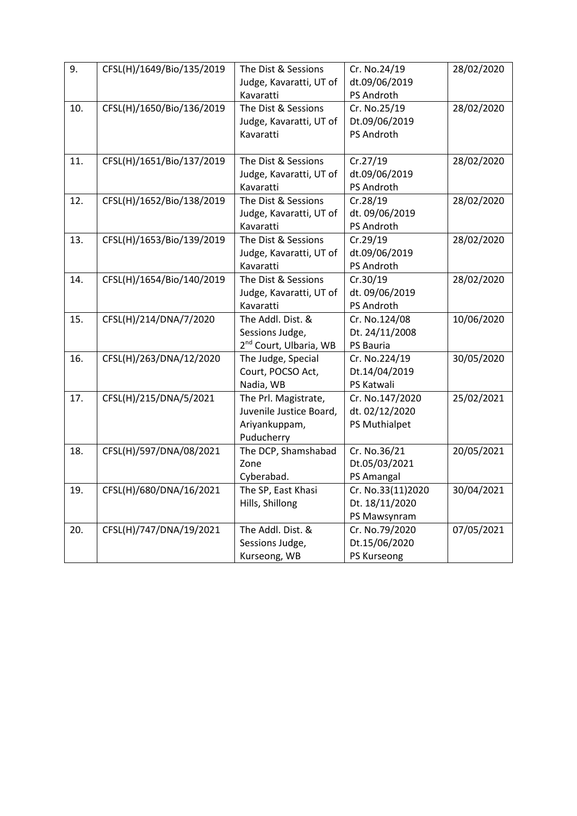| 9.  | CFSL(H)/1649/Bio/135/2019 | The Dist & Sessions                | Cr. No.24/19      | 28/02/2020 |
|-----|---------------------------|------------------------------------|-------------------|------------|
|     |                           | Judge, Kavaratti, UT of            | dt.09/06/2019     |            |
|     |                           | Kavaratti                          | PS Androth        |            |
| 10. | CFSL(H)/1650/Bio/136/2019 | The Dist & Sessions                | Cr. No.25/19      | 28/02/2020 |
|     |                           | Judge, Kavaratti, UT of            | Dt.09/06/2019     |            |
|     |                           | Kavaratti                          | PS Androth        |            |
|     |                           |                                    |                   |            |
| 11. | CFSL(H)/1651/Bio/137/2019 | The Dist & Sessions                | Cr.27/19          | 28/02/2020 |
|     |                           | Judge, Kavaratti, UT of            | dt.09/06/2019     |            |
|     |                           | Kavaratti                          | PS Androth        |            |
| 12. | CFSL(H)/1652/Bio/138/2019 | The Dist & Sessions                | Cr.28/19          | 28/02/2020 |
|     |                           | Judge, Kavaratti, UT of            | dt. 09/06/2019    |            |
|     |                           | Kavaratti                          | PS Androth        |            |
| 13. | CFSL(H)/1653/Bio/139/2019 | The Dist & Sessions                | Cr.29/19          | 28/02/2020 |
|     |                           | Judge, Kavaratti, UT of            | dt.09/06/2019     |            |
|     |                           | Kavaratti                          | PS Androth        |            |
| 14. | CFSL(H)/1654/Bio/140/2019 | The Dist & Sessions                | Cr.30/19          | 28/02/2020 |
|     |                           | Judge, Kavaratti, UT of            | dt. 09/06/2019    |            |
|     |                           | Kavaratti                          | PS Androth        |            |
| 15. | CFSL(H)/214/DNA/7/2020    | The Addl. Dist. &                  | Cr. No.124/08     | 10/06/2020 |
|     |                           | Sessions Judge,                    | Dt. 24/11/2008    |            |
|     |                           | 2 <sup>nd</sup> Court, Ulbaria, WB | PS Bauria         |            |
| 16. | CFSL(H)/263/DNA/12/2020   | The Judge, Special                 | Cr. No.224/19     | 30/05/2020 |
|     |                           | Court, POCSO Act,                  | Dt.14/04/2019     |            |
|     |                           | Nadia, WB                          | PS Katwali        |            |
| 17. | CFSL(H)/215/DNA/5/2021    | The Prl. Magistrate,               | Cr. No.147/2020   | 25/02/2021 |
|     |                           | Juvenile Justice Board,            | dt. 02/12/2020    |            |
|     |                           | Ariyankuppam,                      | PS Muthialpet     |            |
|     |                           | Puducherry                         |                   |            |
| 18. | CFSL(H)/597/DNA/08/2021   | The DCP, Shamshabad                | Cr. No.36/21      | 20/05/2021 |
|     |                           | Zone                               | Dt.05/03/2021     |            |
|     |                           | Cyberabad.                         | PS Amangal        |            |
| 19. | CFSL(H)/680/DNA/16/2021   | The SP, East Khasi                 | Cr. No.33(11)2020 | 30/04/2021 |
|     |                           | Hills, Shillong                    | Dt. 18/11/2020    |            |
|     |                           |                                    | PS Mawsynram      |            |
| 20. | CFSL(H)/747/DNA/19/2021   | The Addl. Dist. &                  | Cr. No.79/2020    | 07/05/2021 |
|     |                           | Sessions Judge,                    | Dt.15/06/2020     |            |
|     |                           | Kurseong, WB                       | PS Kurseong       |            |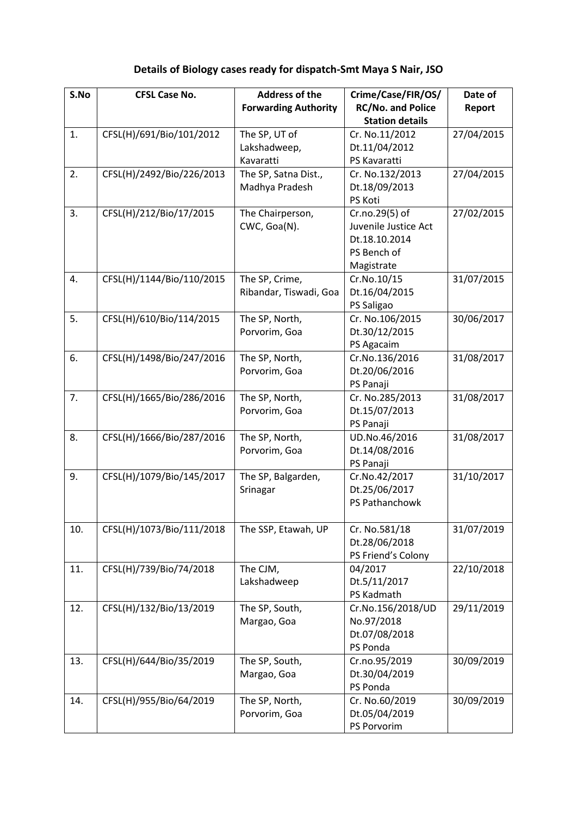# **Details of Biology cases ready for dispatch-Smt Maya S Nair, JSO**

| S.No | <b>CFSL Case No.</b>      | <b>Address of the</b>       | Crime/Case/FIR/OS/       | Date of    |
|------|---------------------------|-----------------------------|--------------------------|------------|
|      |                           | <b>Forwarding Authority</b> | <b>RC/No. and Police</b> | Report     |
|      |                           |                             | <b>Station details</b>   |            |
| 1.   | CFSL(H)/691/Bio/101/2012  | The SP, UT of               | Cr. No.11/2012           | 27/04/2015 |
|      |                           | Lakshadweep,                | Dt.11/04/2012            |            |
|      |                           | Kavaratti                   | PS Kavaratti             |            |
| 2.   | CFSL(H)/2492/Bio/226/2013 | The SP, Satna Dist.,        | Cr. No.132/2013          | 27/04/2015 |
|      |                           | Madhya Pradesh              | Dt.18/09/2013            |            |
|      |                           |                             | PS Koti                  |            |
| 3.   | CFSL(H)/212/Bio/17/2015   | The Chairperson,            | Cr.no.29(5) of           | 27/02/2015 |
|      |                           | CWC, Goa(N).                | Juvenile Justice Act     |            |
|      |                           |                             | Dt.18.10.2014            |            |
|      |                           |                             | PS Bench of              |            |
|      |                           |                             | Magistrate               |            |
| 4.   | CFSL(H)/1144/Bio/110/2015 | The SP, Crime,              | Cr.No.10/15              | 31/07/2015 |
|      |                           | Ribandar, Tiswadi, Goa      | Dt.16/04/2015            |            |
|      |                           |                             | PS Saligao               |            |
| 5.   | CFSL(H)/610/Bio/114/2015  | The SP, North,              | Cr. No.106/2015          | 30/06/2017 |
|      |                           | Porvorim, Goa               | Dt.30/12/2015            |            |
|      |                           |                             | PS Agacaim               |            |
| 6.   | CFSL(H)/1498/Bio/247/2016 | The SP, North,              | Cr.No.136/2016           | 31/08/2017 |
|      |                           | Porvorim, Goa               | Dt.20/06/2016            |            |
|      |                           |                             | PS Panaji                |            |
| 7.   | CFSL(H)/1665/Bio/286/2016 | The SP, North,              | Cr. No.285/2013          | 31/08/2017 |
|      |                           | Porvorim, Goa               | Dt.15/07/2013            |            |
|      |                           |                             | PS Panaji                |            |
| 8.   | CFSL(H)/1666/Bio/287/2016 | The SP, North,              | UD.No.46/2016            | 31/08/2017 |
|      |                           | Porvorim, Goa               | Dt.14/08/2016            |            |
|      |                           |                             | PS Panaji                |            |
| 9.   | CFSL(H)/1079/Bio/145/2017 | The SP, Balgarden,          | Cr.No.42/2017            | 31/10/2017 |
|      |                           | Srinagar                    | Dt.25/06/2017            |            |
|      |                           |                             | PS Pathanchowk           |            |
| 10.  | CFSL(H)/1073/Bio/111/2018 | The SSP, Etawah, UP         | Cr. No.581/18            | 31/07/2019 |
|      |                           |                             | Dt.28/06/2018            |            |
|      |                           |                             | PS Friend's Colony       |            |
| 11.  | CFSL(H)/739/Bio/74/2018   | The CJM,                    | 04/2017                  | 22/10/2018 |
|      |                           | Lakshadweep                 | Dt.5/11/2017             |            |
|      |                           |                             | PS Kadmath               |            |
| 12.  | CFSL(H)/132/Bio/13/2019   | The SP, South,              | Cr.No.156/2018/UD        | 29/11/2019 |
|      |                           | Margao, Goa                 | No.97/2018               |            |
|      |                           |                             | Dt.07/08/2018            |            |
|      |                           |                             | PS Ponda                 |            |
| 13.  | CFSL(H)/644/Bio/35/2019   | The SP, South,              | Cr.no.95/2019            | 30/09/2019 |
|      |                           | Margao, Goa                 | Dt.30/04/2019            |            |
|      |                           |                             | PS Ponda                 |            |
| 14.  | CFSL(H)/955/Bio/64/2019   | The SP, North,              | Cr. No.60/2019           | 30/09/2019 |
|      |                           | Porvorim, Goa               | Dt.05/04/2019            |            |
|      |                           |                             | PS Porvorim              |            |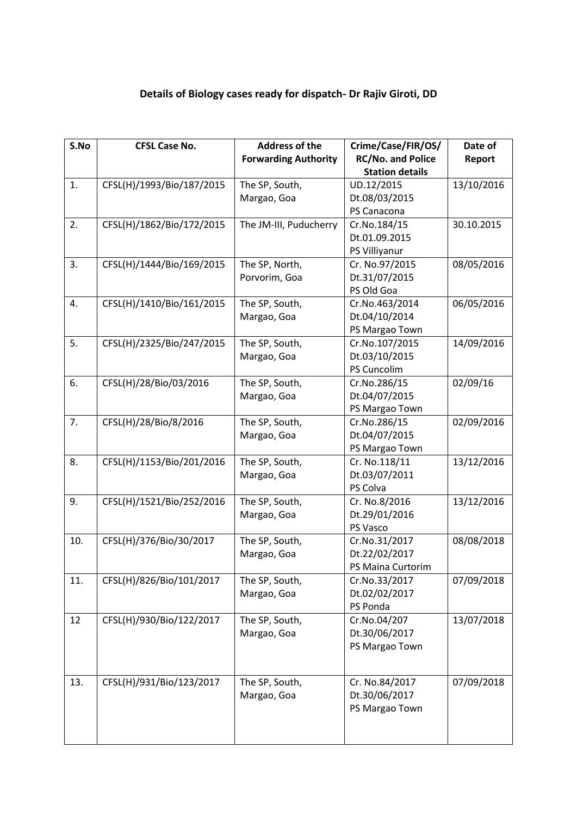# **Details of Biology cases ready for dispatch- Dr Rajiv Giroti, DD**

| S.No | <b>CFSL Case No.</b>      | <b>Address of the</b>       | Crime/Case/FIR/OS/              | Date of    |
|------|---------------------------|-----------------------------|---------------------------------|------------|
|      |                           | <b>Forwarding Authority</b> | <b>RC/No. and Police</b>        | Report     |
|      |                           |                             | <b>Station details</b>          |            |
| 1.   | CFSL(H)/1993/Bio/187/2015 | The SP, South,              | UD.12/2015                      | 13/10/2016 |
|      |                           | Margao, Goa                 | Dt.08/03/2015                   |            |
|      |                           |                             | PS Canacona                     |            |
| 2.   | CFSL(H)/1862/Bio/172/2015 | The JM-III, Puducherry      | Cr.No.184/15                    | 30.10.2015 |
|      |                           |                             | Dt.01.09.2015                   |            |
|      |                           |                             | PS Villiyanur                   |            |
| 3.   | CFSL(H)/1444/Bio/169/2015 | The SP, North,              | Cr. No.97/2015                  | 08/05/2016 |
|      |                           | Porvorim, Goa               | Dt.31/07/2015                   |            |
|      |                           |                             | PS Old Goa                      |            |
| 4.   | CFSL(H)/1410/Bio/161/2015 | The SP, South,              | Cr.No.463/2014                  | 06/05/2016 |
|      |                           | Margao, Goa                 | Dt.04/10/2014                   |            |
|      |                           |                             | PS Margao Town                  |            |
| 5.   | CFSL(H)/2325/Bio/247/2015 | The SP, South,              | Cr.No.107/2015                  | 14/09/2016 |
|      |                           | Margao, Goa                 | Dt.03/10/2015                   |            |
|      |                           |                             | PS Cuncolim                     |            |
| 6.   | CFSL(H)/28/Bio/03/2016    | The SP, South,              | Cr.No.286/15                    | 02/09/16   |
|      |                           | Margao, Goa                 | Dt.04/07/2015                   |            |
|      |                           |                             | PS Margao Town                  |            |
| 7.   | CFSL(H)/28/Bio/8/2016     | The SP, South,              | Cr.No.286/15                    | 02/09/2016 |
|      |                           | Margao, Goa                 | Dt.04/07/2015                   |            |
|      |                           |                             | PS Margao Town                  |            |
| 8.   | CFSL(H)/1153/Bio/201/2016 | The SP, South,              | Cr. No.118/11                   | 13/12/2016 |
|      |                           | Margao, Goa                 | Dt.03/07/2011                   |            |
|      |                           |                             | PS Colva                        |            |
| 9.   | CFSL(H)/1521/Bio/252/2016 | The SP, South,              | Cr. No.8/2016                   | 13/12/2016 |
|      |                           | Margao, Goa                 | Dt.29/01/2016                   |            |
|      |                           |                             | PS Vasco                        |            |
| 10.  | CFSL(H)/376/Bio/30/2017   | The SP, South,              | Cr.No.31/2017                   | 08/08/2018 |
|      |                           | Margao, Goa                 | Dt.22/02/2017                   |            |
|      |                           |                             | PS Maina Curtorim               |            |
| 11.  | CFSL(H)/826/Bio/101/2017  | The SP, South,              | Cr.No.33/2017                   | 07/09/2018 |
|      |                           | Margao, Goa                 | Dt.02/02/2017                   |            |
|      |                           |                             | PS Ponda                        |            |
| 12   | CFSL(H)/930/Bio/122/2017  | The SP, South,              | Cr.No.04/207                    | 13/07/2018 |
|      |                           | Margao, Goa                 | Dt.30/06/2017<br>PS Margao Town |            |
|      |                           |                             |                                 |            |
|      |                           |                             |                                 |            |
| 13.  | CFSL(H)/931/Bio/123/2017  | The SP, South,              | Cr. No.84/2017                  | 07/09/2018 |
|      |                           | Margao, Goa                 | Dt.30/06/2017                   |            |
|      |                           |                             | PS Margao Town                  |            |
|      |                           |                             |                                 |            |
|      |                           |                             |                                 |            |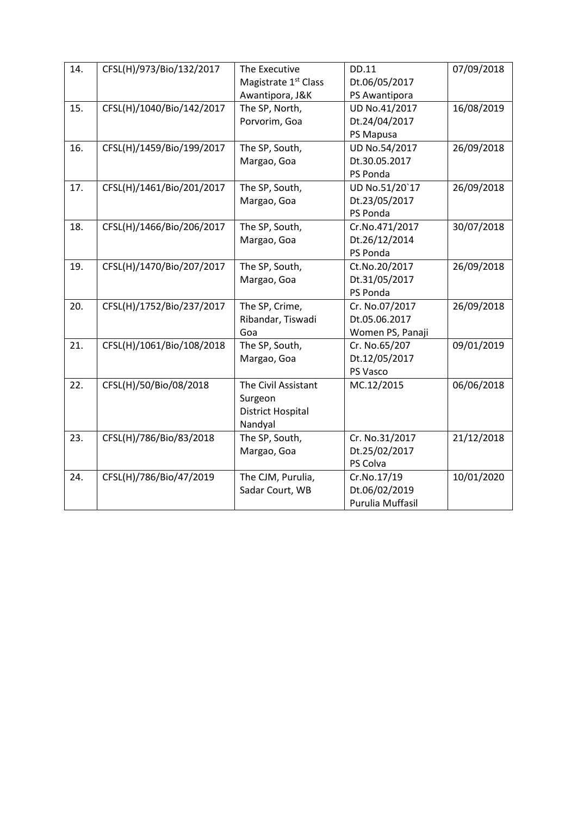| 14. | CFSL(H)/973/Bio/132/2017  | The Executive                    | DD.11            | 07/09/2018 |
|-----|---------------------------|----------------------------------|------------------|------------|
|     |                           | Magistrate 1 <sup>st</sup> Class | Dt.06/05/2017    |            |
|     |                           | Awantipora, J&K                  | PS Awantipora    |            |
| 15. | CFSL(H)/1040/Bio/142/2017 | The SP, North,                   | UD No.41/2017    | 16/08/2019 |
|     |                           | Porvorim, Goa                    | Dt.24/04/2017    |            |
|     |                           |                                  | PS Mapusa        |            |
| 16. | CFSL(H)/1459/Bio/199/2017 | The SP, South,                   | UD No.54/2017    | 26/09/2018 |
|     |                           | Margao, Goa                      | Dt.30.05.2017    |            |
|     |                           |                                  | PS Ponda         |            |
| 17. | CFSL(H)/1461/Bio/201/2017 | The SP, South,                   | UD No.51/20`17   | 26/09/2018 |
|     |                           | Margao, Goa                      | Dt.23/05/2017    |            |
|     |                           |                                  | PS Ponda         |            |
| 18. | CFSL(H)/1466/Bio/206/2017 | The SP, South,                   | Cr.No.471/2017   | 30/07/2018 |
|     |                           | Margao, Goa                      | Dt.26/12/2014    |            |
|     |                           |                                  | PS Ponda         |            |
| 19. | CFSL(H)/1470/Bio/207/2017 | The SP, South,                   | Ct.No.20/2017    | 26/09/2018 |
|     |                           | Margao, Goa                      | Dt.31/05/2017    |            |
|     |                           |                                  | PS Ponda         |            |
| 20. | CFSL(H)/1752/Bio/237/2017 | The SP, Crime,                   | Cr. No.07/2017   | 26/09/2018 |
|     |                           | Ribandar, Tiswadi                | Dt.05.06.2017    |            |
|     |                           | Goa                              | Women PS, Panaji |            |
| 21. | CFSL(H)/1061/Bio/108/2018 | The SP, South,                   | Cr. No.65/207    | 09/01/2019 |
|     |                           | Margao, Goa                      | Dt.12/05/2017    |            |
|     |                           |                                  | PS Vasco         |            |
| 22. | CFSL(H)/50/Bio/08/2018    | The Civil Assistant              | MC.12/2015       | 06/06/2018 |
|     |                           | Surgeon                          |                  |            |
|     |                           | <b>District Hospital</b>         |                  |            |
|     |                           | Nandyal                          |                  |            |
| 23. | CFSL(H)/786/Bio/83/2018   | The SP, South,                   | Cr. No.31/2017   | 21/12/2018 |
|     |                           | Margao, Goa                      | Dt.25/02/2017    |            |
|     |                           |                                  | PS Colva         |            |
| 24. | CFSL(H)/786/Bio/47/2019   | The CJM, Purulia,                | Cr.No.17/19      | 10/01/2020 |
|     |                           | Sadar Court, WB                  | Dt.06/02/2019    |            |
|     |                           |                                  | Purulia Muffasil |            |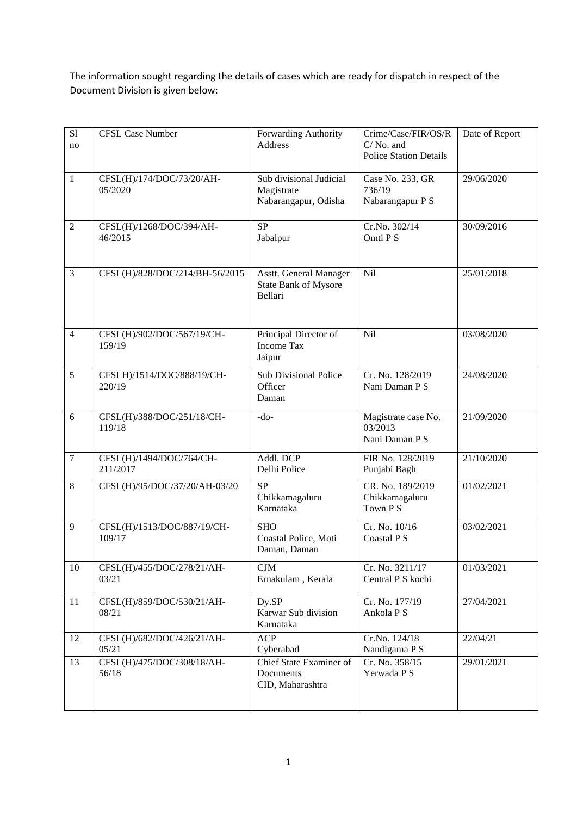The information sought regarding the details of cases which are ready for dispatch in respect of the Document Division is given below:

| S1<br>no         | <b>CFSL Case Number</b>               | Forwarding Authority<br>Address                                  | Crime/Case/FIR/OS/R<br>$C/No.$ and<br><b>Police Station Details</b> | Date of Report |
|------------------|---------------------------------------|------------------------------------------------------------------|---------------------------------------------------------------------|----------------|
| $\mathbf{1}$     | CFSL(H)/174/DOC/73/20/AH-<br>05/2020  | Sub divisional Judicial<br>Magistrate<br>Nabarangapur, Odisha    | Case No. 233, GR<br>736/19<br>Nabarangapur P S                      | 29/06/2020     |
| $\overline{2}$   | CFSL(H)/1268/DOC/394/AH-<br>46/2015   | SP<br>Jabalpur                                                   | Cr.No. 302/14<br>Omti P S                                           | 30/09/2016     |
| 3                | CFSL(H)/828/DOC/214/BH-56/2015        | Asstt. General Manager<br><b>State Bank of Mysore</b><br>Bellari | Nil                                                                 | 25/01/2018     |
| $\overline{4}$   | CFSL(H)/902/DOC/567/19/CH-<br>159/19  | Principal Director of<br><b>Income Tax</b><br>Jaipur             | Nil                                                                 | 03/08/2020     |
| 5                | CFSLH)/1514/DOC/888/19/CH-<br>220/19  | <b>Sub Divisional Police</b><br>Officer<br>Daman                 | Cr. No. 128/2019<br>Nani Daman P S                                  | 24/08/2020     |
| 6                | CFSL(H)/388/DOC/251/18/CH-<br>119/18  | $-do-$                                                           | Magistrate case No.<br>03/2013<br>Nani Daman P S                    | 21/09/2020     |
| $\boldsymbol{7}$ | CFSL(H)/1494/DOC/764/CH-<br>211/2017  | Addl. DCP<br>Delhi Police                                        | FIR No. 128/2019<br>Punjabi Bagh                                    | 21/10/2020     |
| 8                | CFSL(H)/95/DOC/37/20/AH-03/20         | <b>SP</b><br>Chikkamagaluru<br>Karnataka                         | CR. No. 189/2019<br>Chikkamagaluru<br>Town PS                       | 01/02/2021     |
| 9                | CFSL(H)/1513/DOC/887/19/CH-<br>109/17 | <b>SHO</b><br>Coastal Police, Moti<br>Daman, Daman               | Cr. No. 10/16<br><b>Coastal PS</b>                                  | 03/02/2021     |
| 10               | CFSL(H)/455/DOC/278/21/AH-<br>03/21   | CJM<br>Ernakulam, Kerala                                         | Cr. No. 3211/17<br>Central P S kochi                                | 01/03/2021     |
| 11               | CFSL(H)/859/DOC/530/21/AH-<br>08/21   | Dy.SP<br>Karwar Sub division<br>Karnataka                        | Cr. No. 177/19<br>Ankola P S                                        | 27/04/2021     |
| 12               | CFSL(H)/682/DOC/426/21/AH-<br>05/21   | <b>ACP</b><br>Cyberabad                                          | Cr.No. 124/18<br>Nandigama P S                                      | 22/04/21       |
| 13               | CFSL(H)/475/DOC/308/18/AH-<br>56/18   | Chief State Examiner of<br>Documents<br>CID, Maharashtra         | Cr. No. 358/15<br>Yerwada P S                                       | 29/01/2021     |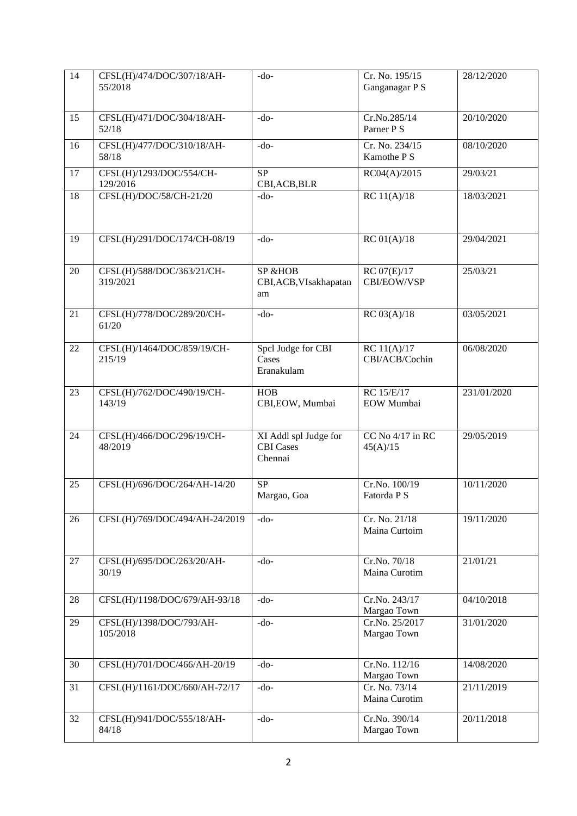| 14 | CFSL(H)/474/DOC/307/18/AH-<br>55/2018  | -do-                                                 | Cr. No. 195/15<br>Ganganagar P S | 28/12/2020  |
|----|----------------------------------------|------------------------------------------------------|----------------------------------|-------------|
| 15 | CFSL(H)/471/DOC/304/18/AH-<br>52/18    | $-do-$                                               | Cr.No.285/14<br>Parner P S       | 20/10/2020  |
| 16 | CFSL(H)/477/DOC/310/18/AH-<br>58/18    | $-do-$                                               | Cr. No. 234/15<br>Kamothe P S    | 08/10/2020  |
| 17 | CFSL(H)/1293/DOC/554/CH-<br>129/2016   | $\overline{\text{SP}}$<br>CBI, ACB, BLR              | RC04(A)/2015                     | 29/03/21    |
| 18 | CFSL(H)/DOC/58/CH-21/20                | -do-                                                 | RC 11(A)/18                      | 18/03/2021  |
| 19 | CFSL(H)/291/DOC/174/CH-08/19           | $-do-$                                               | RC 01(A)/18                      | 29/04/2021  |
| 20 | CFSL(H)/588/DOC/363/21/CH-<br>319/2021 | SP & HOB<br>CBI, ACB, VIsakhapatan<br>am             | RC 07(E)/17<br>CBI/EOW/VSP       | 25/03/21    |
| 21 | CFSL(H)/778/DOC/289/20/CH-<br>61/20    | $-do-$                                               | RC 03(A)/18                      | 03/05/2021  |
| 22 | CFSL(H)/1464/DOC/859/19/CH-<br>215/19  | Spcl Judge for CBI<br>Cases<br>Eranakulam            | RC 11(A)/17<br>CBI/ACB/Cochin    | 06/08/2020  |
| 23 | CFSL(H)/762/DOC/490/19/CH-<br>143/19   | HOB<br>CBI, EOW, Mumbai                              | RC 15/E/17<br><b>EOW</b> Mumbai  | 231/01/2020 |
| 24 | CFSL(H)/466/DOC/296/19/CH-<br>48/2019  | XI Addl spl Judge for<br><b>CBI</b> Cases<br>Chennai | CC No 4/17 in RC<br>45(A)/15     | 29/05/2019  |
| 25 | CFSL(H)/696/DOC/264/AH-14/20           | <b>SP</b><br>Margao, Goa                             | Cr.No. 100/19<br>Fatorda P S     | 10/11/2020  |
| 26 | CFSL(H)/769/DOC/494/AH-24/2019         | $-do-$                                               | Cr. No. 21/18<br>Maina Curtoim   | 19/11/2020  |
| 27 | CFSL(H)/695/DOC/263/20/AH-<br>30/19    | $-do-$                                               | Cr.No. 70/18<br>Maina Curotim    | 21/01/21    |
| 28 | CFSL(H)/1198/DOC/679/AH-93/18          | $-do-$                                               | Cr.No. 243/17<br>Margao Town     | 04/10/2018  |
| 29 | CFSL(H)/1398/DOC/793/AH-<br>105/2018   | $-do-$                                               | Cr.No. 25/2017<br>Margao Town    | 31/01/2020  |
| 30 | CFSL(H)/701/DOC/466/AH-20/19           | $-do-$                                               | Cr.No. 112/16<br>Margao Town     | 14/08/2020  |
| 31 | CFSL(H)/1161/DOC/660/AH-72/17          | $-do-$                                               | Cr. No. 73/14<br>Maina Curotim   | 21/11/2019  |
| 32 | CFSL(H)/941/DOC/555/18/AH-<br>84/18    | $-do-$                                               | Cr.No. 390/14<br>Margao Town     | 20/11/2018  |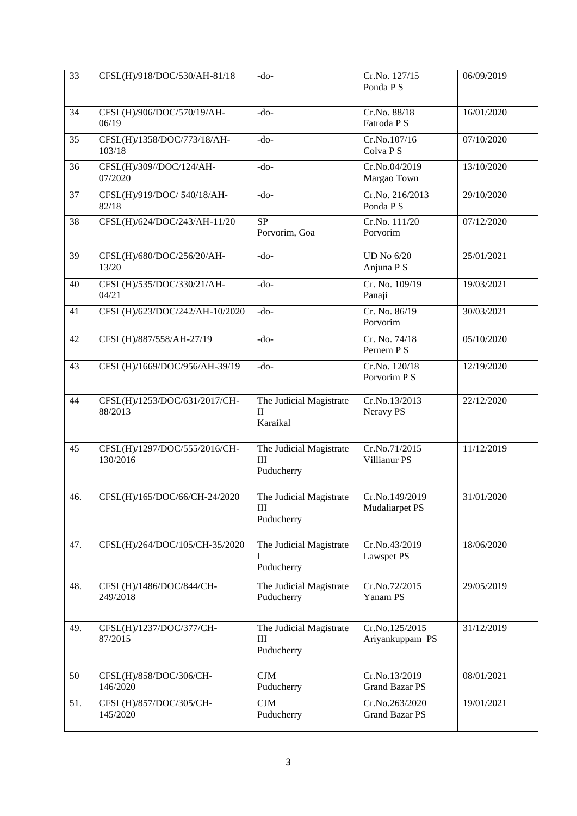| $\overline{33}$ | CFSL(H)/918/DOC/530/AH-81/18              | $-do-$                                              | Cr.No. 127/15<br>Ponda P S              | 06/09/2019 |
|-----------------|-------------------------------------------|-----------------------------------------------------|-----------------------------------------|------------|
| 34              | CFSL(H)/906/DOC/570/19/AH-<br>06/19       | $-do-$                                              | Cr.No. 88/18<br>Fatroda P S             | 16/01/2020 |
| 35              | CFSL(H)/1358/DOC/773/18/AH-<br>103/18     | $-do-$                                              | Cr.No.107/16<br>Colva P S               | 07/10/2020 |
| 36              | CFSL(H)/309//DOC/124/AH-<br>07/2020       | $-do-$                                              | Cr.No.04/2019<br>Margao Town            | 13/10/2020 |
| 37              | CFSL(H)/919/DOC/ 540/18/AH-<br>82/18      | $-do-$                                              | Cr.No. 216/2013<br>Ponda P S            | 29/10/2020 |
| 38              | CFSL(H)/624/DOC/243/AH-11/20              | <b>SP</b><br>Porvorim, Goa                          | Cr.No. 111/20<br>Porvorim               | 07/12/2020 |
| 39              | CFSL(H)/680/DOC/256/20/AH-<br>13/20       | $-do-$                                              | <b>UD</b> No 6/20<br>Anjuna P S         | 25/01/2021 |
| 40              | CFSL(H)/535/DOC/330/21/AH-<br>04/21       | $-do-$                                              | Cr. No. 109/19<br>Panaji                | 19/03/2021 |
| 41              | CFSL(H)/623/DOC/242/AH-10/2020            | $-do-$                                              | Cr. No. 86/19<br>Porvorim               | 30/03/2021 |
| 42              | CFSL(H)/887/558/AH-27/19                  | $-do-$                                              | Cr. No. 74/18<br>Pernem P S             | 05/10/2020 |
| 43              | CFSL(H)/1669/DOC/956/AH-39/19             | $-do-$                                              | Cr.No. 120/18<br>Porvorim P S           | 12/19/2020 |
| 44              | CFSL(H)/1253/DOC/631/2017/CH-<br>88/2013  | The Judicial Magistrate<br>$\mathbf{I}$<br>Karaikal | Cr.No.13/2013<br>Neravy PS              | 22/12/2020 |
| 45              | CFSL(H)/1297/DOC/555/2016/CH-<br>130/2016 | The Judicial Magistrate<br>Ш<br>Puducherry          | Cr.No.71/2015<br>Villianur PS           | 11/12/2019 |
| 46.             | CFSL(H)/165/DOC/66/CH-24/2020             | The Judicial Magistrate<br>$\rm III$<br>Puducherry  | Cr.No.149/2019<br>Mudaliarpet PS        | 31/01/2020 |
| 47.             | CFSL(H)/264/DOC/105/CH-35/2020            | The Judicial Magistrate<br>I<br>Puducherry          | Cr.No.43/2019<br>Lawspet PS             | 18/06/2020 |
| 48.             | CFSL(H)/1486/DOC/844/CH-<br>249/2018      | The Judicial Magistrate<br>Puducherry               | Cr.No.72/2015<br>Yanam PS               | 29/05/2019 |
| 49.             | CFSL(H)/1237/DOC/377/CH-<br>87/2015       | The Judicial Magistrate<br>$\rm III$<br>Puducherry  | Cr.No.125/2015<br>Ariyankuppam PS       | 31/12/2019 |
| 50              | CFSL(H)/858/DOC/306/CH-<br>146/2020       | CJM<br>Puducherry                                   | Cr.No.13/2019<br><b>Grand Bazar PS</b>  | 08/01/2021 |
| 51.             | CFSL(H)/857/DOC/305/CH-<br>145/2020       | CJM<br>Puducherry                                   | Cr.No.263/2020<br><b>Grand Bazar PS</b> | 19/01/2021 |